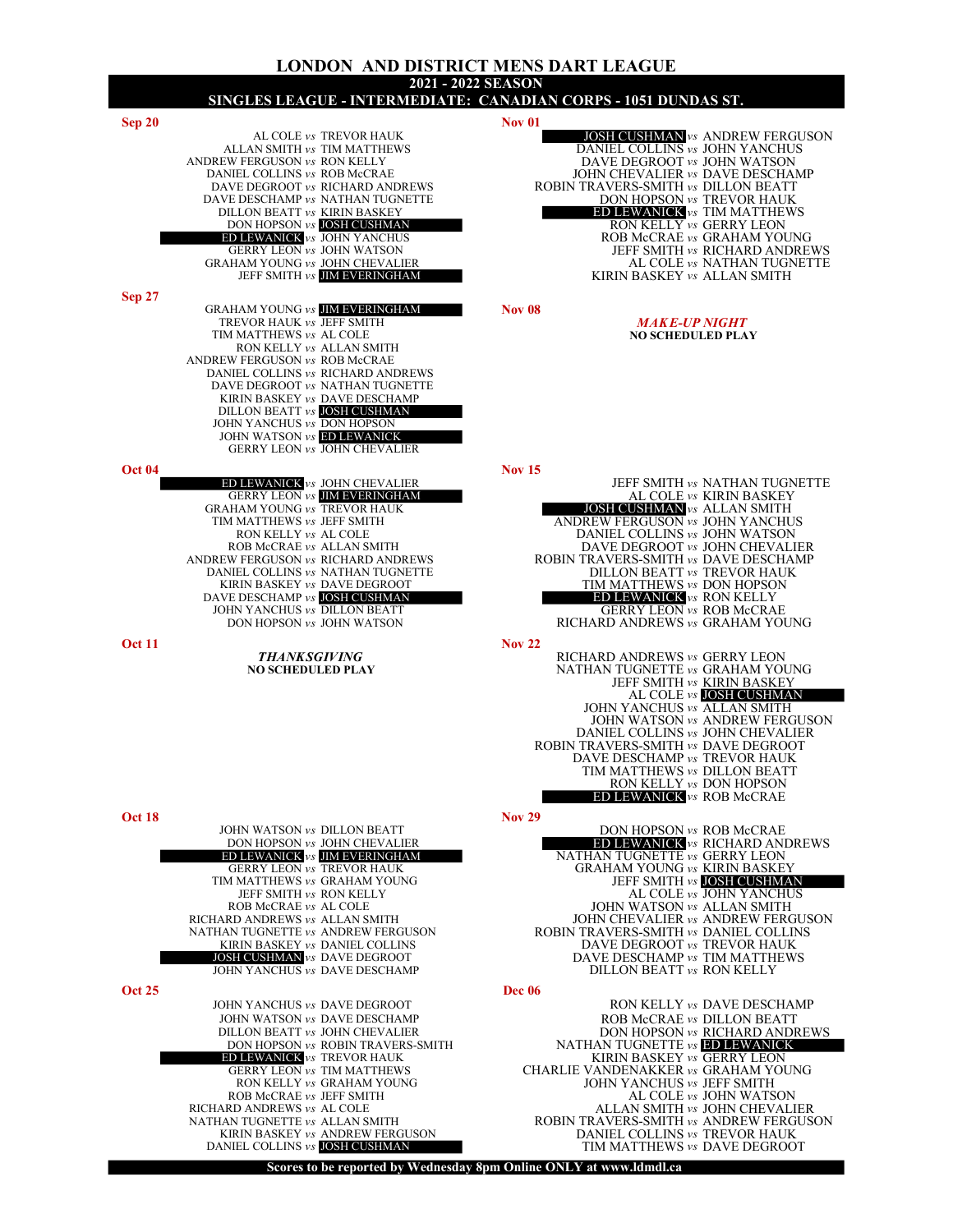### LONDON AND DISTRICT MENS DART LEAGUE 2021 - 2022 SEASON SINGLES LEAGUE - INTERMEDIATE: CANADIAN CORPS - 1051 DUNDAS ST.  $Sep 20$  Nov 01 AL COLE vs TREVOR HAUK **JOSH CUSHMAN** vs ANDREW FERGUSON ALLAN SMITH vs TIM MATTHEWS **Example 2** DANIEL COLLINS vs JOHN YANCHUS ANDREW FERGUSON vs RON KELLY DAVE DEGROOT vs JOHN WATSON DANIEL COLLINS vs ROB McCRAE JOHN CHEVALIER vs DAVE DESCHAL DANIEL COLLINS vs ROB McCRAE JOHN CHEVALIER vs DAVE DESCHAMP DAVE DEGROOT vs RICHARD ANDREWS ROBIN TRAVERS-SMITH vs DILLON BEATT DAVE DESCHAMP  $\mathit{vs}\,$  NATHAN TUGNETTE DILLON BEATT  $\mathit{vs}\,$  KIRIN BASKEY **DON HOPSON VS TREVOR HAUK<br>DILLON BEATTER VS TIM MATTHEWS**<br>RON KELLY *vs* GERRY LEON DON HOPSON vs JOSH CUSHMAN ED LEWANICK vs JOHN YANCHUS ED LEWANICK vs JOHN YANCHUS ROB McCRAE vs GRAHAM YOUNG GERRY LEON vs JOHN WATSON **JEFF SMITH vs RICHARD ANDREWS** GRAHAM YOUNG *vs* JOHN CHEVALIER AL COLE *vs* NATHAN TUGNETTE JEFF SMITH *vs* JIM EVERINGHAM **ALLUMENTIE** KIRIN BASKEY *vs* ALLAN SMITH Sep 27 GRAHAM YOUNG  $v_s$  **JIM EVERINGHAM** Nov  $08$ TREVOR HAUK vs TEFF SMITH THE MAKE-UP NIGHT MAKE-UP NIGHT MOSCHEDULED PLAY TIM MATTHEWS vs AL COLE RON KELLY vs ALLAN SMITH ANDREW FERGUSON vs ROB McCRAE DANIEL COLLINS vs RICHARD ANDREWS DAVE DEGROOT vs NATHAN TUGNETTE KIRIN BASKEY vs DAVE DESCHAMP DILLON BEATT vs JOSH CUSHMAN JOHN YANCHUS vs DON HOPSON JOHN WATSON vs ED LEWANICK GERRY LEON vs JOHN CHEVALIER Oct 04<br> **ED LEWANICK** vs JOHN CHEVALIER<br>
GERRY LEON vs **JIM EVERINGHAM** JEFF SMITH vs NATHAN TUGNETTE GERRY LEON vs **JIM EVERINGHAM** AL COLE vs KIRIN BASKEY GRAHAM YOUNG vs TREVOR HAUK **Subset of the Search Constant of Search Annual Science of the Search Science of the S** TIM MATTHEWS vs JEFF SMITH ANDREW FERGUSON vs JOHN YANCHUS<br>RON KELLY vs AL COLE DANIEL COLLINS vs JOHN WATSON RON KELLY vs AL COLE **DANIEL COLLINS** vs JOHN WATSON ROB McCRAE vs ALLAN SMITH **Example 20** OB DAVE DEGROOT vs JOHN CHEVALIER ANDREW FERGUSON *vs* RICHARD ANDREWS **ROBIN TRAVERS-SMITH** *vs* DAVE DESCHAMP DANIEL COLLINS *vs* NATHAN TUGNETTE DILLON BEATT *vs* TREVOR HAUK DANIEL COLLINS vs NATHAN TUGNETTE DILLON BEATT vs TREVOR HAUK KIRIN BASKEY vs DAVE DEGROOT TIM MATTHEWS vs DON HOPSON DAVE DESCHAMP vs JOSH CUSHMAN ED LEWANICK vs RON KELLY DAVE DESCHAMP vs **IOSH CUSHMAN FRAME CONTROLL CONTROLL CONTROLLY**<br>JOHN YANCHUS vs DILLON BEATT GERRY LEON vs ROB McCRAE<br>DON HOPSON vs JOHN WATSON RICHARD ANDREWS vs GRAHAM YOU RICHARD ANDREWS vs GRAHAM YOUNG  $\frac{1}{2}$  Nov 22 THANK SGIVING RICHARD ANDREWS vs GERRY LEON NO SCHEDULED PLAY NATHAN TUGNETTE vs GRAHAM YOU NATHAN TUGNETTE vs GRAHAM YOUNG JEFF SMITH vs KIRIN BASKEY AL COLE *vs* JOSH CUSHMAN JOHN YANCHUS *vs* ALLAN SMITH JOHN WATSON vs ANDREW FERGUSON DANIEL COLLINS vs JOHN CHEVALIER ROBIN TRAVERS-SMITH vs DAVE DEGROOT DAVE DESCHAMP vs TREVOR HAUK TIM MATTHEWS vs DILLON BEATT RON KELLY vs DON HOPSON ED LEWANICK vs ROB McCRAE Oct 18 Nov 29 JOHN WATSON vs DILLON BEATT DON HOPSON VS ROB McCRAE DON HOPSON vs JOHN CHEVALIER **ED LEWANICK** vs RICHARD ANDREWS ED LEWANICK vs JIM EVERINGHAM NATHAN TUGNETTE vs GERRY LEON GERRY LEON vs TREVOR HAUK GRAHAM YOUNG vs KIRIN BASKEY THEORY OF A GRAHAM YOUNG Vs KIRIN BASKEY TIM MATTHEWS vs GRAHAM YOUNG<br>JEFF SMITH vs **IOSH CUSHMAN**<br>JEFF SMITH vs RON KELLY<br>AL COLE vs JOHN YANCHUS JEFF SMITH vs RON KELLY THE VIOLE VS JOHN YANCHUS ROB McCRAE vs AL COLE **All and STATE SET ACCRAE** vs ALLAN SMITH ROB McCRAE vs AL COLE METAL DURIN WATSON vs ALLAN SMITH RICHARD ANDREWS vs ALLAN SMITH JOHN CHEVALIER vs ANDREW FERGUSON NATHAN TUGNETTE vs ANDREW FERGUSON NAT TUGNETTE vs ANDREW FERGUSON ROBIN TRAVERS-SMITH vs DANIEL COLLINS RIRIN BASKEY vs DANIEL COLLINS KIRIN BASKEY vs DANIEL COLLINS DAVE DEGROOT vs TREVOR HAUK DAVE DESCHAMP vs TIM MATTHEWS<br>DILLON BEATT vs RON KELLY JOHN YANCHUS vs DAVE DESCHAMP Oct 25 Dec 06 JOHN YANCHUS vs DAVE DEGROOT RON KELLY vs DAVEDESCHAMP JOHN WATSON vs DAVE DESCHAMP **ROB MCCRAE VS DILLON BEATT**<br>DILLON BEATT vs JOHN CHEVALIER **ROB ROB MCCRAE VS DON HOPSON** vs RICHARD ANDR DON HOPSON vs RICHARD ANDREWS<br>DON HOPSON vs ROBIN TRAVERS-SMITH NATHAN TUGNETTE vs **ED LEWANICK** DON HOPSON vs ROBIN TRAVERS-SMITH NATHAN TUGNETTE vs ED LEWANICK ED LEWANICK Vs TREVOR HAUK KIRIN BASKEY vs GERRY LEON **ED LEWANICK** vs TREVOR HAUK **KIRIN BASKEY** vs GERRY LEON

RON KELLY vs GRAHAM YOUNG JOHN YANCHUS vs JEFF SMITH ROB McCRAE vs JEFF SMITH AL COLE vs JOHN WATS ROB McCRAE vs JEFF SMITH AL COLE Vs JOHN WATSON ALCOLE VS JOHN WATSON ALCOLE VS JOHN CHEVAL! RICHARD ANDREWS vs AL COLE ALLAN SMITH Vs JOHN CHEVALIER NATHAN TUGNETTE vs ALLAN SMITH VS ANDREW FERGUS NAN TUGNETTE vs ALLAN SMITH **ROBIN TRAVERS-SMITH vs ANDREW FERGUSON**<br>KIRIN BASKEY vs ANDREW FERGUSON **RAMEL COLLINS** vs TREVOR HAUK KIRIN BASKEY *vs* ANDREW FERGUSON DANIEL COLLINS *vs* TREVOR HAUK DANIEL COLLINS *vs* DAVE DEGROO

Scores to be reported by Wednesday 8pm Online ONLY at www.ldmdl.ca

GERRY LEON vs TIM MATTHEWS CHARLIE VANDENAKKER vs GRAHAM YOUNG

TIM MATTHEWS vs DAVE DEGROOT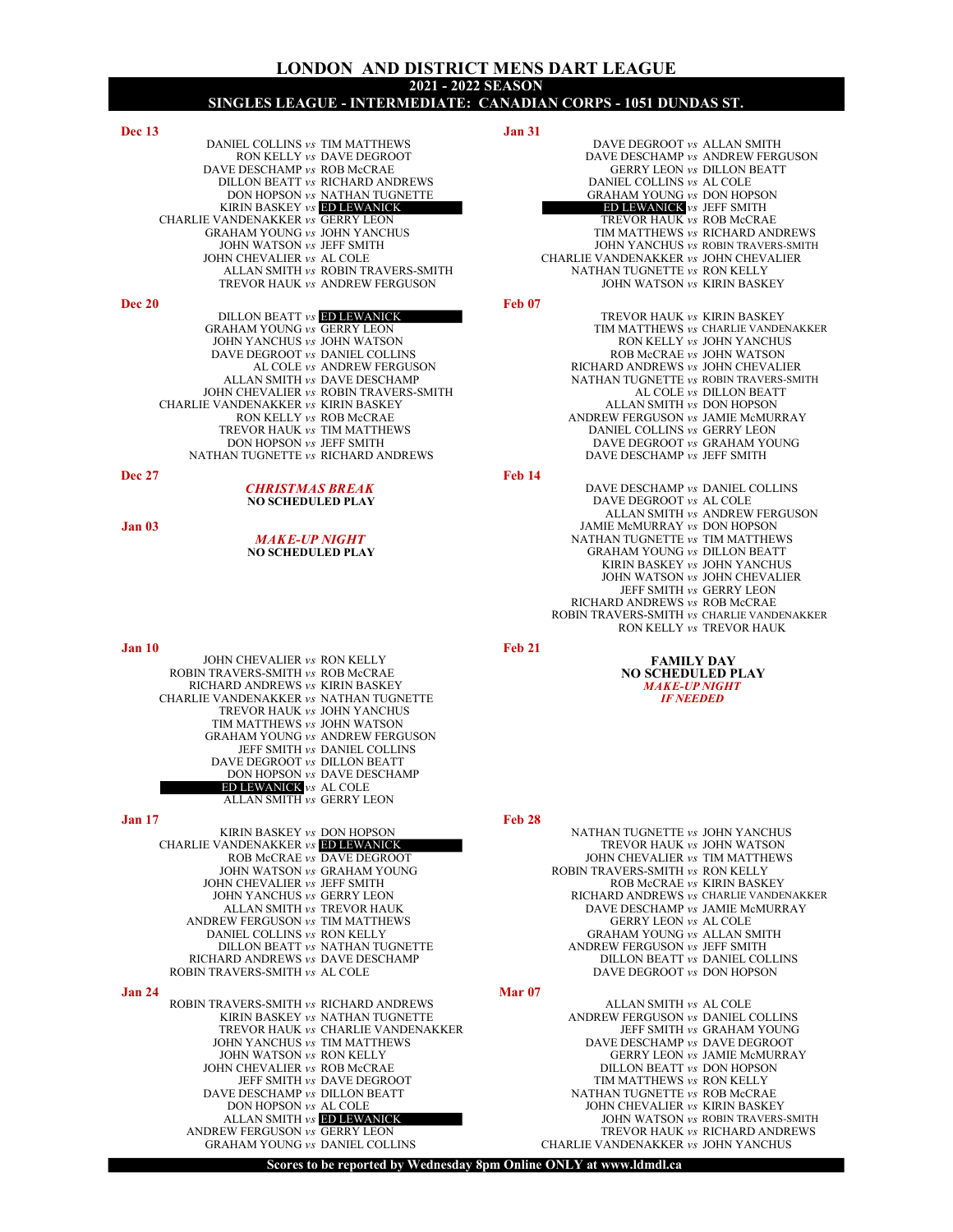## LONDON AND DISTRICT MENS DART LEAGUE 2021 - 2022 SEASON SINGLES LEAGUE - INTERMEDIATE: CANADIAN CORPS - 1051 DUNDAS ST.

| <b>Dec 13</b>                          | <b>Jan 31</b>                          |
|----------------------------------------|----------------------------------------|
| DANIEL COLLINS vs. TIM MATTHEWS        | DAVE DEGROOT vs ALLAN SMITH            |
| RON KELLY vs DAVE DEGROOT              | DAVE DESCHAMP vs ANDREW FERGUS         |
| DAVE DESCHAMP vs ROB McCRAE            | <b>GERRY LEON vs DILLON BEATT</b>      |
| DILLON BEATT <i>vs</i> RICHARD ANDREWS | DANIEL COLLINS vs AL COLE              |
| DON HOPSON vs NATHAN TUGNETTE          | <b>GRAHAM YOUNG vs DON HOPSON</b>      |
| KIRIN BASKEY <i>vs</i> ED LEWANICK     | <b>ED LEWANICK</b> vs JEFF SMITH       |
| CHARLIE VANDENAKKER vs GERRY LEON      | TREVOR HAUK vs ROB McCRAE              |
| <b>GRAHAM YOUNG vs JOHN YANCHUS</b>    | TIM MATTHEWS vs RICHARD ANDRET         |
| JOHN WATSON vs JEFF SMITH              | JOHN YANCHUS vs ROBIN TRAVERS-SM       |
| JOHN CHEVALIER vs. AL COLE             | CHARLIE VANDENAKKER vs. JOHN CHEVALIER |
| ALLAN SMITH vs ROBIN TRAVERS-SMITH     | NATHAN TUGNETTE vs RON KELLY           |
| TREVOR HAUK vs ANDREW FERGUSON         | JOHN WATSON vs KIRIN BASKEY            |
| <b>Dec 20</b>                          | <b>Feb 07</b>                          |
| <b>DULLON DEATT IND LEWANIER</b>       | TREVOR HAUTZ  EIRIN DACEEV             |

DAVE DEGROOT *vs* DANIEL COLLINS<br>AL COLE *vs* ANDREW FERGUSON JOHN CHEVALIER  $\nu s$  ROBIN TRAVERS-SMITH CHARLIE VANDENAKKER vs KIRIN BASKEY ALLAN SMITH vs DON HOPSON TREVOR HAUK *vs* TIM MATTHEWS DON HOPSON *vs* JEFF SMITH NATHAN TUGNETTE *vs* RICHARD ANDREWS

JOHN CHEVALIER vs RON KELLY **FAMILY DAY** FAMILY DAY **FAMILY DAY FAMILY DAY FAMILY DAY** ROBIN TRAVERS-SMITH *vs* ROB McCRAE NO SCHEDULED PINCHARD ANDREWS *vs* KIRIN BASKEY MAKE-UP NIGHT RICHARD ANDREWS *vs* KIRIN BASKEY **And CONSTRUCT AND MAKE-UP NIGHT MAKE-UP NIGHT AND READED MAKE-UP NIGHT AND READED MAKE-UP NIGHT AND READED ASSAULT A MAKE-UP NIGHT AND READED MAKE A MAKE A MAKE OF ME AND READED MAKE A MA** CHARLIE VANDENAKKER vs NATHAN TUGNETTE TREVOR HAUK vs JOHN YANCHUS TIM MATTHEWS vs JOHN WATSON GRAHAM YOUNG vs ANDREW FERGUSON JEFF SMITH vs DANIEL COLLINS DAVE DEGROOT vs DILLON BEATT DON HOPSON vs DAVE DESCHAMP ED LEWANICK vs AL COLE ALLAN SMITH vs GERRY LEON

# Jan 17 Feb 28

| Jan 24 |                                           | Mar <sub>07</sub>                  |  |
|--------|-------------------------------------------|------------------------------------|--|
|        | ROBIN TRAVERS-SMITH vs AL COLE            | DAVE DEGROOT vs DON HOPSON         |  |
|        | RICHARD ANDREWS vs DAVE DESCHAMP          | DILLON BEATT vs DANIEL COLLIN      |  |
|        | DILLON BEATT <i>vs</i> NATHAN TUGNETTE    | ANDREW FERGUSON vs. JEFF SMITH     |  |
|        | DANIEL COLLINS vs RON KELLY               | <b>GRAHAM YOUNG vs ALLAN SMITH</b> |  |
|        | ANDREW FERGUSON vs TIM MATTHEWS           | <b>GERRY LEON vs AL COLE</b>       |  |
|        | ALLAN SMITH <i>vs</i> TREVOR HAUK         | DAVE DESCHAMP vs JAMIE McMURR      |  |
|        | JOHN YANCHUS vs GERRY LEON                | RICHARD ANDREWS vs CHARLIE VANDEN  |  |
|        | JOHN CHEVALIER vs. JEFF SMITH             | ROB McCRAE vs KIRIN BASKEY         |  |
|        | JOHN WATSON vs GRAHAM YOUNG               | ROBIN TRAVERS-SMITH vs RON KELLY   |  |
|        | ROB McCRAE vs DAVE DEGROOT                | JOHN CHEVALIER vs TIM MATTHEWS     |  |
|        | <b>CHARLIE VANDENAKKER vs ED LEWANICK</b> | TREVOR HAUK vs JOHN WATSON         |  |
|        | KIRIN BASKEY <i>vs</i> DON HOPSON         | NATHAN TUGNETTE vs. JOHN YANCHUS   |  |

ROBIN TRAVERS-SMITH vs RICHARD ANDREWS ALLAN SMITH vs AL COLE KIRIN BASKEY vs NATHAN TUGNETTE ANDREW FERGUSON vs DANIEL C TREVOR HAUK  $v_s$  CHARLIE VANDENAKKER JOHN YANCHUS  $v_s$  TIM MATTHEWS JOHN CHEVALIER *vs* ROB McCRAE<br>JEFF SMITH *vs* DAVE DEGROOT JEFF SMITH vs DAVE DEGROOT TIM MATTHEWS vs RON KELLY DAVE DESCHAMP vs DILLON BEATT NAMELY NATHAN TUGNETTE vs ROB McCRA VE DESCHAMP vs DILLON BEATT NATHAN TUGNETTE vs ROB McCRAE NATHAN TUGNETTE vs ROB McCRAE NATHAN TUGNETTE vs ROB McCRAE ALLAN SMITH *vs* **ED LEWANICK**<br>ANDREW FERGUSON *vs* GERRY LEON

## DAVE DEGROOT vs ALLAN SMITH DAVE DESCHAMP vs ANDREW FERGUSON GERRY LEON vs DILLON BEATT DANIEL COLLINS vs AL COLE GRAHAM YOUNG *vs* DON HOPSON **ED LEWANICK** vs JEFF SMITH TREVOR HAUK vs ROB McCRAE TIM MATTHEWS vs RICHARD ANDREWS JOHN YANCHUS vs ROBIN TRAVERS-SMITH CHARLIE VANDENAKKER  $vs$  JOHN CHEVALIER NATHAN TUGNETTE vs RON KELLY JOHN WATSON vs KIRIN BASKEY DILLON BEATT vs **ED LEWANICK** TREVOR HAUK vs KIRIN BASKEY<br>
GRAHAM YOUNG vs GERRY LEON TIM MATTHEWS vs CHARLIE VANDE

- TIM MATTHEWS  $v_s$  CHARLIE VANDENAKKER<br>RON KELLY  $v_s$  JOHN YANCHUS JOHN YANCHUS vs JOHN WATSON RON KELLY vs JOHN YANCHUS AL COLE *vs* ANDREW FERGUSON RICHARD ANDREWS *vs* JOHN CHEVALIER<br>NATHAN TUGNETTE *vs* ROBIN TRAVERS-SM NATHAN TUGNETTE *vs* ROBIN TRAVERS-SMITH AL COLE *vs* DILLON BEATT ANDREW FERGUSON  $vs$  JAMIE McMURRAY DANIEL COLLINS  $vs$  GERRY LEON DAVE DEGROOT *vs* GRAHAM YOUNG DAVE DESCHAMP *vs* JEFF SMITH  $\epsilon$  Dec 27 Feb 14 **CHRISTMAS BREAK** DAVE DESCHAMP *vs* DANIEL COLLINS<br>
NO SCHEDULED PLAY DAVE DEGROOT *vs* AL COLE DAVE DEGROOT vs AL COLE ALLAN SMITH vs ANDREW FERGUSON **Jan 03**<br>**MAKE-UP NIGHT** MARE STRAIN TUGNETTE vs TIM MATTHEN **MAKE-UP NIGHT NATHAN TUGNETTE vs TIM MATTHEWS**<br>NO SCHEDULED PLAY NATHAN YOUNG vs DILLON BEATT
	- GRAHAM YOUNG *vs* DILLON BEATT KIRIN BASKEY vs JOHN YANCHUS JOHN WATSON vs JOHN CHEVALIER JEFF SMITH vs GERRY LEON RICHARD ANDREWS vs ROB McCRAE ROBIN TRAVERS-SMITH vs CHARLIE VANDENAKKER RON KELLY vs TREVOR HAUK

 $J$ an 10 Feb 21 Feb 21 Feb 21 Feb 21 Feb 21 Feb 21 Feb 21 Feb 21 Feb 21 Feb 21 Feb 21 Feb 21 Feb 21 Feb 21 Feb 21 Feb 21 Feb 21 Feb 21 Feb 21 Feb 21 Feb 21 Feb 21 Feb 21 Feb 21 Feb 21 Feb 21 Feb 21 Feb 21 Feb 21 Feb 21 Fe

| KIRIN BASKEY <i>vs</i> DON HOPSON         | NATHAN TUGNETTE vs JOHN YANCHUS        |
|-------------------------------------------|----------------------------------------|
| CHARLIE VANDENAKKER vs <b>ED LEWANICK</b> | TREVOR HAUK vs JOHN WATSON             |
| ROB McCRAE vs DAVE DEGROOT                | JOHN CHEVALIER vs TIM MATTHEWS         |
| JOHN WATSON vs GRAHAM YOUNG               | ROBIN TRAVERS-SMITH vs RON KELLY       |
| JOHN CHEVALIER vs JEFF SMITH              | ROB McCRAE vs KIRIN BASKEY             |
| JOHN YANCHUS vs GERRY LEON                | RICHARD ANDREWS vs CHARLIE VANDENAKKER |
| ALLAN SMITH <i>vs</i> TREVOR HAUK         | DAVE DESCHAMP vs JAMIE McMURRAY        |
| ANDREW FERGUSON vs TIM MATTHEWS           | <b>GERRY LEON vs AL COLE</b>           |
| DANIEL COLLINS vs RON KELLY               | <b>GRAHAM YOUNG vs ALLAN SMITH</b>     |
| DILLON BEATT <i>vs</i> NATHAN TUGNETTE    | ANDREW FERGUSON vs JEFF SMITH          |
| RICHARD ANDREWS vs DAVE DESCHAMP          | DILLON BEATT vs DANIEL COLLINS         |
| ROBIN TRAVERS-SMITH <i>vs</i> AL COLE     | DAVE DEGROOT vs DON HOPSON             |
|                                           |                                        |

ANDREW FERGUSON vs DANIEL COLLINS<br>JEFF SMITH vs GRAHAM YOUNG OHN YANCHUS *vs* TIM MATTHEWS DAVE DESCHAMP *vs* DAVE DEGROOT JOHN WATSON *vs* RON KELLY GERRY LEON *vs* JAMIE McMURRAY<br>DILLON BEATT *vs* DON HOPSON JOHN CHEVALIER *vs* KIRIN BASKEY<br>JOHN WATSON *vs* ROBIN TRAVERS-SMITH DREW FERGUSON  $v_s$  GERRY LEON TREVOR HAUK  $v_s$  RICHARD ANDREWS GRAHAM YOUNG  $v_s$  DANIEL COLLINS CHARLIE VANDENAKKER  $v_s$  JOHN YANCHUS CHARLIE VANDENAKKER vs JOHN YANCHUS

Scores to be reported by Wednesday 8pm Online ONLY at www.ldmdl.ca